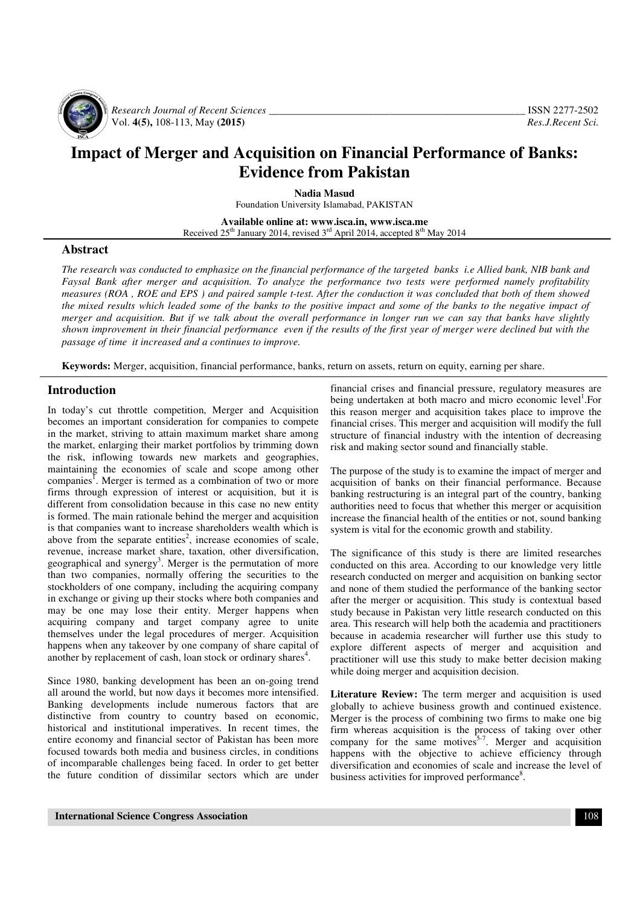

 *Research Journal of Recent Sciences \_\_\_\_\_\_\_\_\_\_\_\_\_\_\_\_\_\_\_\_\_\_\_\_\_\_\_\_\_\_\_\_\_\_\_\_\_\_\_\_\_\_\_\_\_\_\_\_\_* ISSN 2277-2502 Vol. 4(5), 108-113, May (2015)

# **Impact of Merger and Acquisition on Financial Performance of Banks: Evidence from Pakistan**

**Nadia Masud** 

Foundation University Islamabad, PAKISTAN

**Available online at: www.isca.in, www.isca.me**  Received  $25^{th}$  January 2014, revised  $3^{rd}$  April 2014, accepted  $8^{th}$  May 2014

### **Abstract**

*The research was conducted to emphasize on the financial performance of the targeted banks i.e Allied bank, NIB bank and Faysal Bank after merger and acquisition. To analyze the performance two tests were performed namely profitability measures (ROA , ROE and EPS ) and paired sample t-test. After the conduction it was concluded that both of them showed the mixed results which leaded some of the banks to the positive impact and some of the banks to the negative impact of merger and acquisition. But if we talk about the overall performance in longer run we can say that banks have slightly shown improvement in their financial performance even if the results of the first year of merger were declined but with the passage of time it increased and a continues to improve.* 

**Keywords:** Merger, acquisition, financial performance, banks, return on assets, return on equity, earning per share.

#### **Introduction**

In today's cut throttle competition, Merger and Acquisition becomes an important consideration for companies to compete in the market, striving to attain maximum market share among the market, enlarging their market portfolios by trimming down the risk, inflowing towards new markets and geographies, maintaining the economies of scale and scope among other companies<sup>1</sup>. Merger is termed as a combination of two or more firms through expression of interest or acquisition, but it is different from consolidation because in this case no new entity is formed. The main rationale behind the merger and acquisition is that companies want to increase shareholders wealth which is above from the separate entities<sup>2</sup>, increase economies of scale, revenue, increase market share, taxation, other diversification, geographical and synergy<sup>3</sup>. Merger is the permutation of more than two companies, normally offering the securities to the stockholders of one company, including the acquiring company in exchange or giving up their stocks where both companies and may be one may lose their entity. Merger happens when acquiring company and target company agree to unite themselves under the legal procedures of merger. Acquisition happens when any takeover by one company of share capital of another by replacement of cash, loan stock or ordinary shares<sup>4</sup>.

Since 1980, banking development has been an on-going trend all around the world, but now days it becomes more intensified. Banking developments include numerous factors that are distinctive from country to country based on economic, historical and institutional imperatives. In recent times, the entire economy and financial sector of Pakistan has been more focused towards both media and business circles, in conditions of incomparable challenges being faced. In order to get better the future condition of dissimilar sectors which are under

financial crises and financial pressure, regulatory measures are being undertaken at both macro and micro economic level<sup>1</sup>.For this reason merger and acquisition takes place to improve the financial crises. This merger and acquisition will modify the full structure of financial industry with the intention of decreasing risk and making sector sound and financially stable.

The purpose of the study is to examine the impact of merger and acquisition of banks on their financial performance. Because banking restructuring is an integral part of the country, banking authorities need to focus that whether this merger or acquisition increase the financial health of the entities or not, sound banking system is vital for the economic growth and stability.

The significance of this study is there are limited researches conducted on this area. According to our knowledge very little research conducted on merger and acquisition on banking sector and none of them studied the performance of the banking sector after the merger or acquisition. This study is contextual based study because in Pakistan very little research conducted on this area. This research will help both the academia and practitioners because in academia researcher will further use this study to explore different aspects of merger and acquisition and practitioner will use this study to make better decision making while doing merger and acquisition decision.

Literature Review: The term merger and acquisition is used globally to achieve business growth and continued existence. Merger is the process of combining two firms to make one big firm whereas acquisition is the process of taking over other company for the same motives<sup>5-7</sup>. Merger and acquisition happens with the objective to achieve efficiency through diversification and economies of scale and increase the level of business activities for improved performance<sup>8</sup>.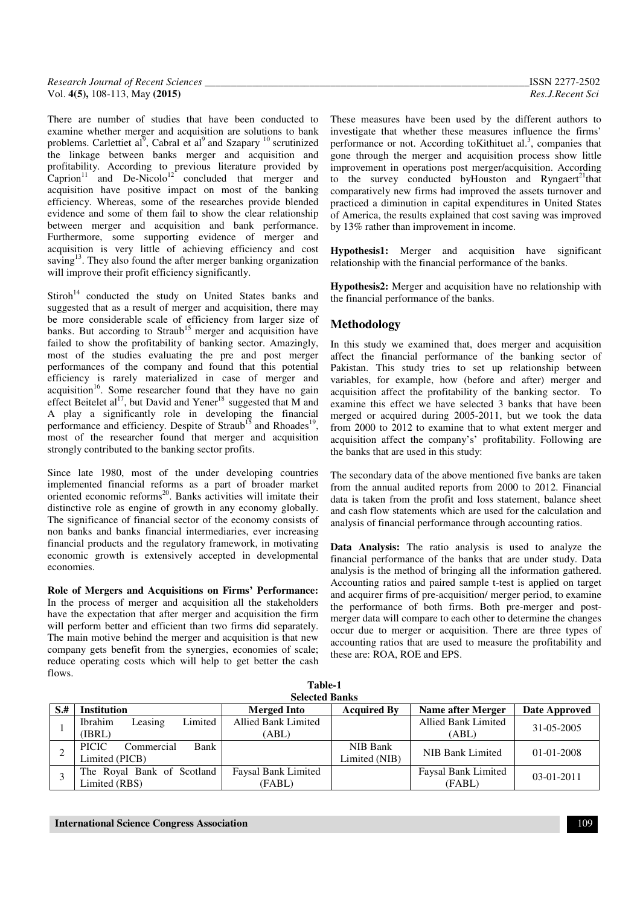| <b>Research Journal of Recent Sciences</b> | N.                              |
|--------------------------------------------|---------------------------------|
| Vol. $4(5)$ , 108-113, May (2015)          | Ros<br>. Recent Sc <sup>.</sup> |

There are number of studies that have been conducted to examine whether merger and acquisition are solutions to bank problems. Carlettiet al<sup>9</sup>, Cabral et al<sup>9</sup> and Szapary<sup>10</sup> scrutinized the linkage between banks merger and acquisition and profitability. According to previous literature provided by Caprion<sup>11</sup> and De-Nicolo<sup>12</sup> concluded that merger and acquisition have positive impact on most of the banking efficiency. Whereas, some of the researches provide blended evidence and some of them fail to show the clear relationship between merger and acquisition and bank performance. Furthermore, some supporting evidence of merger and acquisition is very little of achieving efficiency and cost saving $13$ . They also found the after merger banking organization will improve their profit efficiency significantly.

 $Stiroh<sup>14</sup>$  conducted the study on United States banks and suggested that as a result of merger and acquisition, there may be more considerable scale of efficiency from larger size of banks. But according to  $Strab<sup>15</sup>$  merger and acquisition have failed to show the profitability of banking sector. Amazingly, most of the studies evaluating the pre and post merger performances of the company and found that this potential efficiency is rarely materialized in case of merger and acquisition<sup>16</sup>. Some researcher found that they have no gain effect Beitelet al<sup>17</sup>, but David and Yener<sup>18</sup> suggested that M and A play a significantly role in developing the financial performance and efficiency. Despite of Straub<sup>15</sup> and Rhoades<sup>19</sup>, most of the researcher found that merger and acquisition strongly contributed to the banking sector profits.

Since late 1980, most of the under developing countries implemented financial reforms as a part of broader market oriented economic reforms<sup>20</sup>. Banks activities will imitate their distinctive role as engine of growth in any economy globally. The significance of financial sector of the economy consists of non banks and banks financial intermediaries, ever increasing financial products and the regulatory framework, in motivating economic growth is extensively accepted in developmental economies.

**Role of Mergers and Acquisitions on Firms' Performance:**  In the process of merger and acquisition all the stakeholders have the expectation that after merger and acquisition the firm will perform better and efficient than two firms did separately. The main motive behind the merger and acquisition is that new company gets benefit from the synergies, economies of scale; reduce operating costs which will help to get better the cash flows.

These measures have been used by the different authors to investigate that whether these measures influence the firms' performance or not. According to Kithituet al.<sup>3</sup>, companies that gone through the merger and acquisition process show little improvement in operations post merger/acquisition. According to the survey conducted by Houston and Ryngaert<sup>21</sup>that comparatively new firms had improved the assets turnover and practiced a diminution in capital expenditures in United States of America, the results explained that cost saving was improved by 13% rather than improvement in income.

**Hypothesis1:** Merger and acquisition have significant relationship with the financial performance of the banks.

**Hypothesis2:** Merger and acquisition have no relationship with the financial performance of the banks.

# **Methodology**

In this study we examined that, does merger and acquisition affect the financial performance of the banking sector of Pakistan. This study tries to set up relationship between variables, for example, how (before and after) merger and acquisition affect the profitability of the banking sector. To examine this effect we have selected 3 banks that have been merged or acquired during 2005-2011, but we took the data from 2000 to 2012 to examine that to what extent merger and acquisition affect the company's' profitability. Following are the banks that are used in this study:

The secondary data of the above mentioned five banks are taken from the annual audited reports from 2000 to 2012. Financial data is taken from the profit and loss statement, balance sheet and cash flow statements which are used for the calculation and analysis of financial performance through accounting ratios.

**Data Analysis:** The ratio analysis is used to analyze the financial performance of the banks that are under study. Data analysis is the method of bringing all the information gathered. Accounting ratios and paired sample t-test is applied on target and acquirer firms of pre-acquisition/ merger period, to examine the performance of both firms. Both pre-merger and postmerger data will compare to each other to determine the changes occur due to merger or acquisition. There are three types of accounting ratios that are used to measure the profitability and these are: ROA, ROE and EPS.

|      | тане-т<br><b>Selected Banks</b>                      |                                     |                           |                                     |               |  |  |  |  |  |  |  |  |
|------|------------------------------------------------------|-------------------------------------|---------------------------|-------------------------------------|---------------|--|--|--|--|--|--|--|--|
| $S+$ | <b>Institution</b>                                   | <b>Merged Into</b>                  | <b>Acquired By</b>        | <b>Name after Merger</b>            | Date Approved |  |  |  |  |  |  |  |  |
|      | Limited<br><b>Ibrahim</b><br>Leasing<br>(IBRL)       | <b>Allied Bank Limited</b><br>(ABL) |                           | <b>Allied Bank Limited</b><br>(ABL) | 31-05-2005    |  |  |  |  |  |  |  |  |
|      | Bank<br><b>PICIC</b><br>Commercial<br>Limited (PICB) |                                     | NIB Bank<br>Limited (NIB) | NIB Bank Limited                    | $01-01-2008$  |  |  |  |  |  |  |  |  |
|      | The Royal Bank of Scotland<br>Limited (RBS)          | Faysal Bank Limited<br>(FABL)       |                           | Faysal Bank Limited<br>(FABL)       | $03-01-2011$  |  |  |  |  |  |  |  |  |

**Table-1**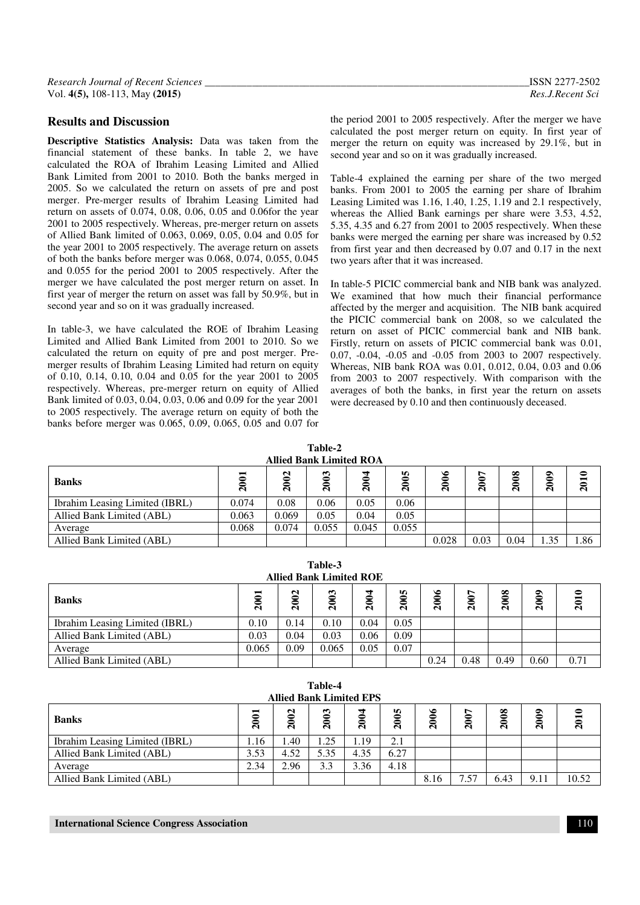# **Results and Discussion**

**Descriptive Statistics Analysis:** Data was taken from the financial statement of these banks. In table 2, we have calculated the ROA of Ibrahim Leasing Limited and Allied Bank Limited from 2001 to 2010. Both the banks merged in 2005. So we calculated the return on assets of pre and post merger. Pre-merger results of Ibrahim Leasing Limited had return on assets of 0.074, 0.08, 0.06, 0.05 and 0.06for the year 2001 to 2005 respectively. Whereas, pre-merger return on assets of Allied Bank limited of 0.063, 0.069, 0.05, 0.04 and 0.05 for the year 2001 to 2005 respectively. The average return on assets of both the banks before merger was 0.068, 0.074, 0.055, 0.045 and 0.055 for the period 2001 to 2005 respectively. After the merger we have calculated the post merger return on asset. In first year of merger the return on asset was fall by 50.9%, but in second year and so on it was gradually increased.

In table-3, we have calculated the ROE of Ibrahim Leasing Limited and Allied Bank Limited from 2001 to 2010. So we calculated the return on equity of pre and post merger. Premerger results of Ibrahim Leasing Limited had return on equity of 0.10, 0.14, 0.10, 0.04 and 0.05 for the year 2001 to 2005 respectively. Whereas, pre-merger return on equity of Allied Bank limited of 0.03, 0.04, 0.03, 0.06 and 0.09 for the year 2001 to 2005 respectively. The average return on equity of both the banks before merger was 0.065, 0.09, 0.065, 0.05 and 0.07 for

the period 2001 to 2005 respectively. After the merger we have calculated the post merger return on equity. In first year of merger the return on equity was increased by 29.1%, but in second year and so on it was gradually increased.

Table-4 explained the earning per share of the two merged banks. From 2001 to 2005 the earning per share of Ibrahim Leasing Limited was 1.16, 1.40, 1.25, 1.19 and 2.1 respectively, whereas the Allied Bank earnings per share were 3.53, 4.52, 5.35, 4.35 and 6.27 from 2001 to 2005 respectively. When these banks were merged the earning per share was increased by 0.52 from first year and then decreased by 0.07 and 0.17 in the next two years after that it was increased.

In table-5 PICIC commercial bank and NIB bank was analyzed. We examined that how much their financial performance affected by the merger and acquisition. The NIB bank acquired the PICIC commercial bank on 2008, so we calculated the return on asset of PICIC commercial bank and NIB bank. Firstly, return on assets of PICIC commercial bank was 0.01, 0.07, -0.04, -0.05 and -0.05 from 2003 to 2007 respectively. Whereas, NIB bank ROA was 0.01, 0.012, 0.04, 0.03 and 0.06 from 2003 to 2007 respectively. With comparison with the averages of both the banks, in first year the return on assets were decreased by 0.10 and then continuously deceased.

#### **Table-2 Allied Bank Limited ROA**

| <b>Banks</b>                   | 宝<br>Ñ | ø<br>Ñ | $\sim$<br>=<br>Ñ | $\mathbf{\Omega}$ | w<br>$\bar{\mathbf{c}}$ | ۴<br>0<br>Ñ | ∼<br>≏<br>≛<br>$\bar{\mathbf{c}}$ | $\infty$<br>ี | $\mathbf{S}$<br>$\overline{a}$ | Ñ    |  |  |
|--------------------------------|--------|--------|------------------|-------------------|-------------------------|-------------|-----------------------------------|---------------|--------------------------------|------|--|--|
| Ibrahim Leasing Limited (IBRL) | 0.074  | 0.08   | 0.06             | 0.05              | 0.06                    |             |                                   |               |                                |      |  |  |
| Allied Bank Limited (ABL)      | 0.063  | 0.069  | 0.05             | 0.04              | 0.05                    |             |                                   |               |                                |      |  |  |
| Average                        | 0.068  | 0.074  | 0.055            | 0.045             | 0.055                   |             |                                   |               |                                |      |  |  |
| Allied Bank Limited (ABL)      |        |        |                  |                   |                         | 0.028       | 0.03                              | 0.04          | 1.35                           | 1.86 |  |  |

| <b>Allied Bank Limited ROE</b> |              |                          |       |      |      |      |                |      |             |      |
|--------------------------------|--------------|--------------------------|-------|------|------|------|----------------|------|-------------|------|
| <b>Banks</b>                   | $\mathbf{a}$ | <u>ក</u><br>$\mathbf{a}$ | 2003  | Ñ    | 2005 | 2006 | $\mathbf{200}$ | 2008 | <b>2009</b> | 2010 |
| Ibrahim Leasing Limited (IBRL) | 0.10         | 0.14                     | 0.10  | 0.04 | 0.05 |      |                |      |             |      |
| Allied Bank Limited (ABL)      | 0.03         | 0.04                     | 0.03  | 0.06 | 0.09 |      |                |      |             |      |
| Average                        | 0.065        | 0.09                     | 0.065 | 0.05 | 0.07 |      |                |      |             |      |
| Allied Bank Limited (ABL)      |              |                          |       |      |      | 0.24 | 0.48           | 0.49 | 0.60        | 0.71 |

| <b>Allied Bank Limited EPS</b> |      |      |                                 |                                |         |      |      |                       |      |       |
|--------------------------------|------|------|---------------------------------|--------------------------------|---------|------|------|-----------------------|------|-------|
| <b>Banks</b>                   | 2001 | 2002 | $\boldsymbol{3}$<br>$\tilde{a}$ | 3<br>$\boldsymbol{\mathsf{a}}$ | n.<br>ສ | 2006 | 2007 | $\boldsymbol{8}$<br>ສ | 2009 | 2010  |
| Ibrahim Leasing Limited (IBRL) | 1.16 | 1.40 | .25                             | 1.19                           | 2.1     |      |      |                       |      |       |
| Allied Bank Limited (ABL)      | 3.53 | 4.52 | 5.35                            | 4.35                           | 6.27    |      |      |                       |      |       |
| Average                        | 2.34 | 2.96 | 3.3                             | 3.36                           | 4.18    |      |      |                       |      |       |
| Allied Bank Limited (ABL)      |      |      |                                 |                                |         | 8.16 | 7.57 | 6.43                  | 9.11 | 10.52 |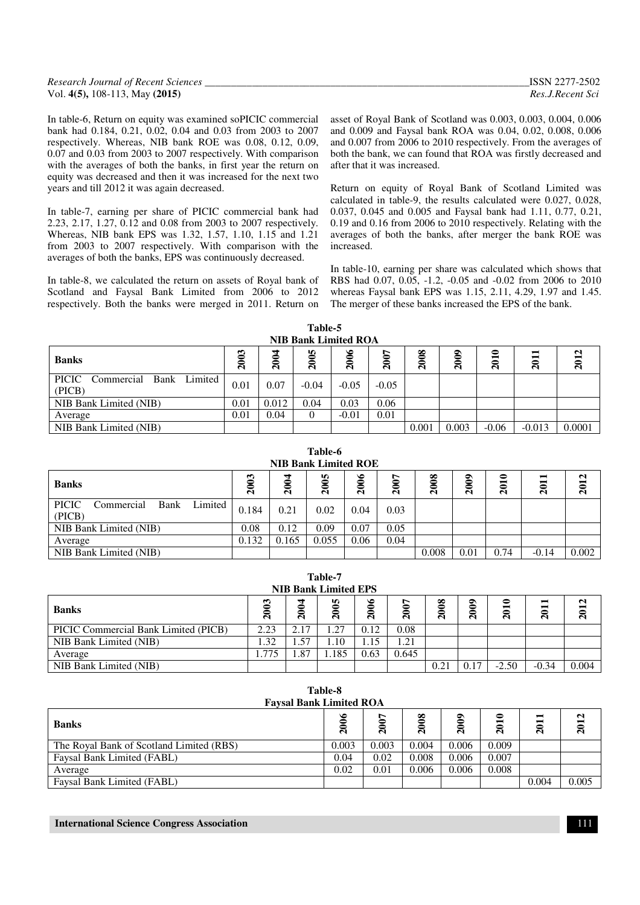| Research Journal of Recent Sciences | ISSN 2277-2502   |
|-------------------------------------|------------------|
| Vol. $4(5)$ , 108-113, May (2015)   | Res.J.Recent Sci |

In table-6, Return on equity was examined soPICIC commercial bank had 0.184, 0.21, 0.02, 0.04 and 0.03 from 2003 to 2007 respectively. Whereas, NIB bank ROE was 0.08, 0.12, 0.09, 0.07 and 0.03 from 2003 to 2007 respectively. With comparison with the averages of both the banks, in first year the return on equity was decreased and then it was increased for the next two years and till 2012 it was again decreased.

In table-7, earning per share of PICIC commercial bank had 2.23, 2.17, 1.27, 0.12 and 0.08 from 2003 to 2007 respectively. Whereas, NIB bank EPS was 1.32, 1.57, 1.10, 1.15 and 1.21 from 2003 to 2007 respectively. With comparison with the averages of both the banks, EPS was continuously decreased.

In table-8, we calculated the return on assets of Royal bank of Scotland and Faysal Bank Limited from 2006 to 2012 respectively. Both the banks were merged in 2011. Return on asset of Royal Bank of Scotland was 0.003, 0.003, 0.004, 0.006 and 0.009 and Faysal bank ROA was 0.04, 0.02, 0.008, 0.006 and 0.007 from 2006 to 2010 respectively. From the averages of both the bank, we can found that ROA was firstly decreased and after that it was increased.

Return on equity of Royal Bank of Scotland Limited was calculated in table-9, the results calculated were 0.027, 0.028, 0.037, 0.045 and 0.005 and Faysal bank had 1.11, 0.77, 0.21, 0.19 and 0.16 from 2006 to 2010 respectively. Relating with the averages of both the banks, after merger the bank ROE was increased.

In table-10, earning per share was calculated which shows that RBS had 0.07, 0.05, -1.2, -0.05 and -0.02 from 2006 to 2010 whereas Faysal bank EPS was 1.15, 2.11, 4.29, 1.97 and 1.45. The merger of these banks increased the EPS of the bank.

| Table-5                     |  |  |  |  |  |  |  |  |
|-----------------------------|--|--|--|--|--|--|--|--|
| <b>NIB Bank Limited ROA</b> |  |  |  |  |  |  |  |  |

| <b>Banks</b>                                  | S<br>=<br>$\mathbf{S}$ | ┓<br>$\frac{200}{200}$ | m<br>ສ  | $\bullet$<br>$\tilde{a}$ | $\boldsymbol{\mathsf{a}}$ | $\boldsymbol{8}$<br>$\tilde{a}$ | ञ<br>ສ | $\mathbf{a}$<br>$\bf{a}$ | −<br>$\mathbf{S}$ | $\mathbf{\mathsf{N}}$<br>−<br>ສ |  |  |
|-----------------------------------------------|------------------------|------------------------|---------|--------------------------|---------------------------|---------------------------------|--------|--------------------------|-------------------|---------------------------------|--|--|
| PICIC<br>Bank Limited<br>Commercial<br>(PICB) | 0.01                   | 0.07                   | $-0.04$ | $-0.05$                  | $-0.05$                   |                                 |        |                          |                   |                                 |  |  |
| NIB Bank Limited (NIB)                        | 0.01                   | 0.012                  | 0.04    | 0.03                     | 0.06                      |                                 |        |                          |                   |                                 |  |  |
| Average                                       | 0.01                   | 0.04                   | 0       | $-0.01$                  | 0.01                      |                                 |        |                          |                   |                                 |  |  |
| NIB Bank Limited (NIB)                        |                        |                        |         |                          |                           | 0.001                           | 0.003  | $-0.06$                  | $-0.013$          | 0.0001                          |  |  |

**Table-6 NIB Bank Limited ROE Banks 2003 2004 2005 2006 2007 2008 2009 2010 2011 2012** PICIC Commercial Bank Limited (PICB)  $(0.184 \mid 0.21 \mid 0.02 \mid 0.04 \mid 0.03)$ NIB Bank Limited (NIB) 0.08 0.12 0.09 0.07 0.05 Average 0.132 0.165 0.055 0.06 0.04 NIB Bank Limited (NIB) 2002

| Table-7<br><b>NIB Bank Limited EPS</b>                                           |              |        |       |      |            |      |                   |              |                   |       |
|----------------------------------------------------------------------------------|--------------|--------|-------|------|------------|------|-------------------|--------------|-------------------|-------|
| 2005<br>៖<br>$\boldsymbol{8}$<br>ఌ<br>2004<br>2012<br>$\Xi$<br>๑<br><b>Banks</b> |              |        |       |      |            |      |                   |              |                   |       |
|                                                                                  | $\mathbf{S}$ |        |       | Ñ    | Ñ          | న    | $\mathbf{\Omega}$ | $\mathbf{a}$ | $\mathbf{\Omega}$ |       |
| PICIC Commercial Bank Limited (PICB)                                             | 2.23         | 2.17   | 1.27  | 0.12 | 0.08       |      |                   |              |                   |       |
| NIB Bank Limited (NIB)                                                           | . 32         | . . 57 | 1.10  | 1.15 | $\cdot$ 21 |      |                   |              |                   |       |
| Average                                                                          | 1.775        | 1.87   | 1.185 | 0.63 | 0.645      |      |                   |              |                   |       |
| NIB Bank Limited (NIB)                                                           |              |        |       |      |            | 0.21 | 0.17              | $-2.50$      | $-0.34$           | 0.004 |

| Table-8<br><b>Faysal Bank Limited ROA</b> |        |              |        |        |       |       |       |  |  |  |
|-------------------------------------------|--------|--------------|--------|--------|-------|-------|-------|--|--|--|
| <b>Banks</b>                              | క<br>Ñ | $\mathbf{a}$ | ∞<br>Ñ | ౭<br>Ñ | 2010  | 2011  | 2012  |  |  |  |
| The Royal Bank of Scotland Limited (RBS)  | 0.003  | 0.003        | 0.004  | 0.006  | 0.009 |       |       |  |  |  |
| Faysal Bank Limited (FABL)                | 0.04   | 0.02         | 0.008  | 0.006  | 0.007 |       |       |  |  |  |
| Average                                   | 0.02   | 0.01         | 0.006  | 0.006  | 0.008 |       |       |  |  |  |
| Faysal Bank Limited (FABL)                |        |              |        |        |       | 0.004 | 0.005 |  |  |  |

| <b>International Science Congress Association</b> |  |
|---------------------------------------------------|--|
|---------------------------------------------------|--|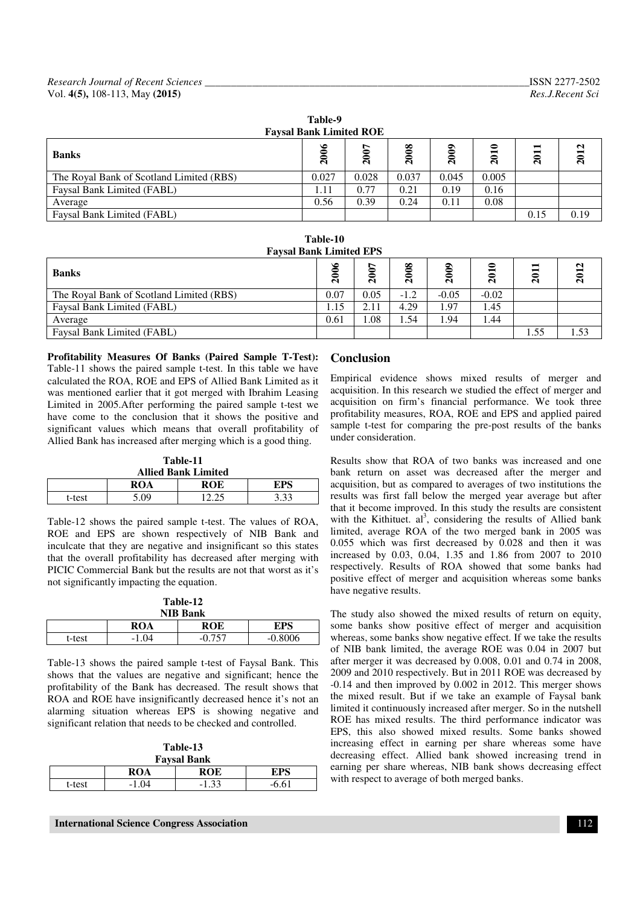| <b>Favsal Bank Limited ROE</b>           |        |             |       |                   |       |                   |      |  |  |  |
|------------------------------------------|--------|-------------|-------|-------------------|-------|-------------------|------|--|--|--|
| <b>Banks</b>                             | ص<br>Ñ | $\tilde{a}$ | 2008  | $\mathbf{S}$<br>ສ | 2010  | −<br>$\mathbf{a}$ | 2012 |  |  |  |
| The Royal Bank of Scotland Limited (RBS) | 0.027  | 0.028       | 0.037 | 0.045             | 0.005 |                   |      |  |  |  |
| Faysal Bank Limited (FABL)               | 1.11   | 0.77        | 0.21  | 0.19              | 0.16  |                   |      |  |  |  |
| Average                                  | 0.56   | 0.39        | 0.24  | 0.11              | 0.08  |                   |      |  |  |  |
| Faysal Bank Limited (FABL)               |        |             |       |                   |       | 0.15              | 0.19 |  |  |  |

**Table-9** 

| <b>Faysal Bank Limited EPS</b>           |                              |      |        |         |         |                                              |      |
|------------------------------------------|------------------------------|------|--------|---------|---------|----------------------------------------------|------|
| <b>Banks</b>                             | క<br>-<br>$\bar{\mathbf{a}}$ | 2007 | 2008   | ন       | 2010    | $\overline{\phantom{0}}$<br>$\overline{201}$ | 2012 |
| The Royal Bank of Scotland Limited (RBS) | 0.07                         | 0.05 | $-1.2$ | $-0.05$ | $-0.02$ |                                              |      |
| Faysal Bank Limited (FABL)               | 1.15                         | 2.11 | 4.29   | 1.97    | 1.45    |                                              |      |
| Average                                  | 0.61                         | 0.08 | 1.54   | 1.94    | 1.44    |                                              |      |
| Faysal Bank Limited (FABL)               |                              |      |        |         |         | 1.55                                         | 1.53 |

**Profitability Measures Of Banks (Paired Sample T-Test):**  Table-11 shows the paired sample t-test. In this table we have calculated the ROA, ROE and EPS of Allied Bank Limited as it was mentioned earlier that it got merged with Ibrahim Leasing Limited in 2005.After performing the paired sample t-test we have come to the conclusion that it shows the positive and significant values which means that overall profitability of Allied Bank has increased after merging which is a good thing.

| Table-11                   |      |            |      |  |
|----------------------------|------|------------|------|--|
| <b>Allied Bank Limited</b> |      |            |      |  |
|                            | ROA  | <b>ROE</b> | EPS  |  |
| t-test                     | 5.09 |            | 3.33 |  |

Table-12 shows the paired sample t-test. The values of ROA, ROE and EPS are shown respectively of NIB Bank and inculcate that they are negative and insignificant so this states that the overall profitability has decreased after merging with PICIC Commercial Bank but the results are not that worst as it's not significantly impacting the equation.

**Table-12** 

| <b>NIB Bank</b> |         |              |           |  |
|-----------------|---------|--------------|-----------|--|
|                 | ROA     | ROE          | EPS       |  |
| t-test          | $-1.04$ | .በ 757<br>-- | $-0.8006$ |  |
|                 |         |              |           |  |

Table-13 shows the paired sample t-test of Faysal Bank. This shows that the values are negative and significant; hence the profitability of the Bank has decreased. The result shows that ROA and ROE have insignificantly decreased hence it's not an alarming situation whereas EPS is showing negative and significant relation that needs to be checked and controlled.

|                    | Table-13 |  |  |  |
|--------------------|----------|--|--|--|
| <b>Favsal Bank</b> |          |  |  |  |
| 20 A               | DAE      |  |  |  |

|        | $\sim$ $\sim$ $\sim$<br>$\bf{A}$ | ---<br>---                 | $\neg$ n $\alpha$<br>ັ<br>-- |
|--------|----------------------------------|----------------------------|------------------------------|
| t-test | -                                | $\sim$<br>-<br><b>1.JU</b> | $\epsilon$                   |
|        |                                  |                            |                              |

# **Conclusion**

Empirical evidence shows mixed results of merger and acquisition. In this research we studied the effect of merger and acquisition on firm's financial performance. We took three profitability measures, ROA, ROE and EPS and applied paired sample t-test for comparing the pre-post results of the banks under consideration.

Results show that ROA of two banks was increased and one bank return on asset was decreased after the merger and acquisition, but as compared to averages of two institutions the results was first fall below the merged year average but after that it become improved. In this study the results are consistent with the Kithituet.  $al^3$ , considering the results of Allied bank limited, average ROA of the two merged bank in 2005 was 0.055 which was first decreased by 0.028 and then it was increased by 0.03, 0.04, 1.35 and 1.86 from 2007 to 2010 respectively. Results of ROA showed that some banks had positive effect of merger and acquisition whereas some banks have negative results.

The study also showed the mixed results of return on equity, some banks show positive effect of merger and acquisition whereas, some banks show negative effect. If we take the results of NIB bank limited, the average ROE was 0.04 in 2007 but after merger it was decreased by 0.008, 0.01 and 0.74 in 2008, 2009 and 2010 respectively. But in 2011 ROE was decreased by -0.14 and then improved by 0.002 in 2012. This merger shows the mixed result. But if we take an example of Faysal bank limited it continuously increased after merger. So in the nutshell ROE has mixed results. The third performance indicator was EPS, this also showed mixed results. Some banks showed increasing effect in earning per share whereas some have decreasing effect. Allied bank showed increasing trend in earning per share whereas, NIB bank shows decreasing effect with respect to average of both merged banks.